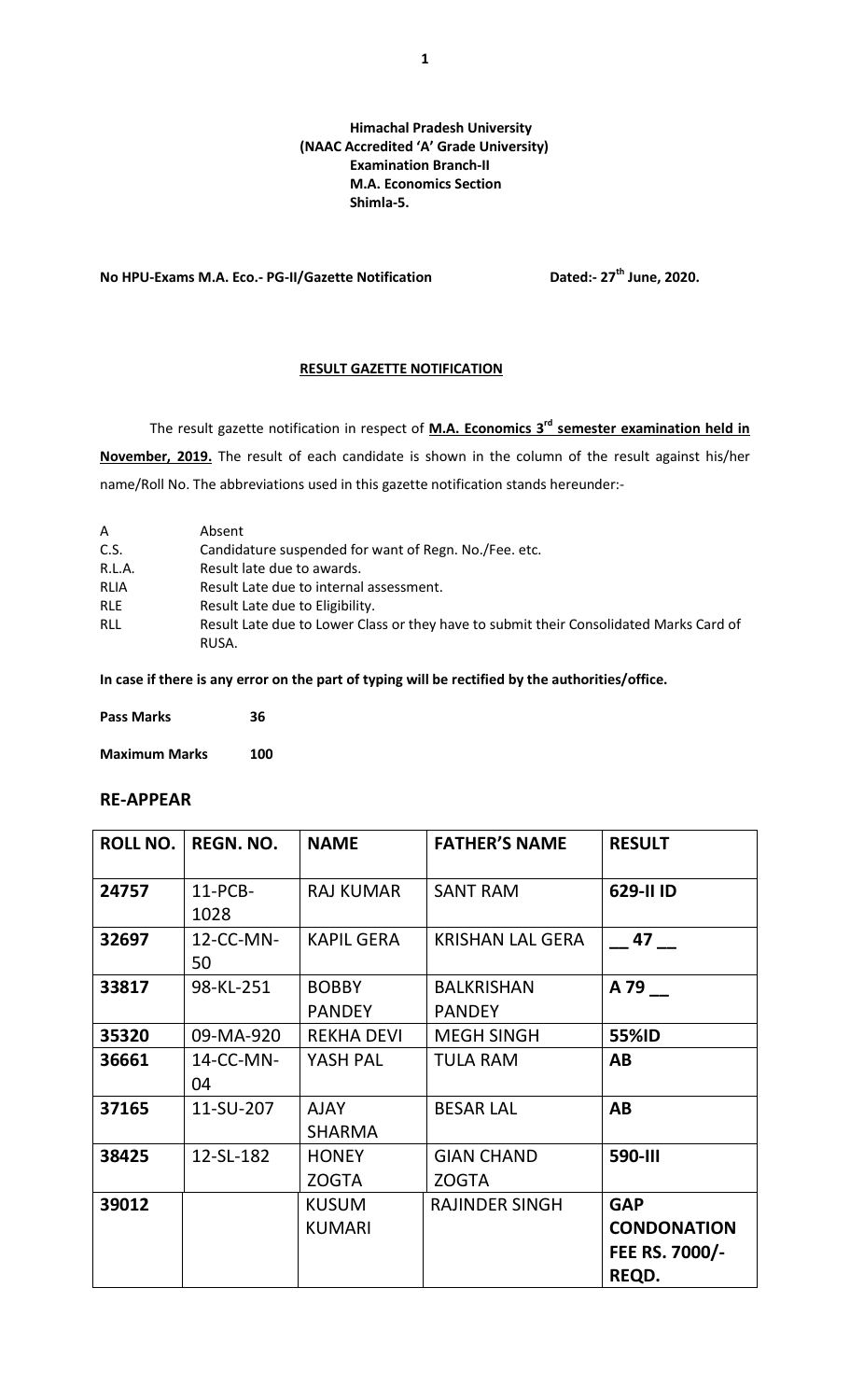### **Himachal Pradesh University (NAAC Accredited 'A' Grade University) Examination Branch-II M.A. Economics Section Shimla-5.**

## **No HPU-Exams M.A. Eco.- PG-II/Gazette Notification Dated:- 27th June, 2020.**

#### **RESULT GAZETTE NOTIFICATION**

The result gazette notification in respect of **M.A. Economics 3<sup>rd</sup> semester examination held in November, 2019.** The result of each candidate is shown in the column of the result against his/her name/Roll No. The abbreviations used in this gazette notification stands hereunder:-

| A          | Absent                                                                                 |
|------------|----------------------------------------------------------------------------------------|
| C.S.       | Candidature suspended for want of Regn. No./Fee. etc.                                  |
| R.L.A.     | Result late due to awards.                                                             |
| RLIA       | Result Late due to internal assessment.                                                |
| <b>RLE</b> | Result Late due to Eligibility.                                                        |
| RLL        | Result Late due to Lower Class or they have to submit their Consolidated Marks Card of |
|            | RUSA.                                                                                  |

**In case if there is any error on the part of typing will be rectified by the authorities/office.**

| <b>Pass Marks</b> | 36 |  |
|-------------------|----|--|
|                   |    |  |

**Maximum Marks 100**

## **RE-APPEAR**

| <b>ROLL NO.</b> | <b>REGN. NO.</b>   | <b>NAME</b>                   | <b>FATHER'S NAME</b>               | <b>RESULT</b>                                               |
|-----------------|--------------------|-------------------------------|------------------------------------|-------------------------------------------------------------|
| 24757           | $11$ -PCB-<br>1028 | <b>RAJ KUMAR</b>              | <b>SANT RAM</b>                    | 629-II ID                                                   |
| 32697           | 12-CC-MN-<br>50    | <b>KAPIL GERA</b>             | <b>KRISHAN LAL GERA</b>            | 47                                                          |
| 33817           | 98-KL-251          | <b>BOBBY</b><br><b>PANDEY</b> | <b>BALKRISHAN</b><br><b>PANDEY</b> | A 79                                                        |
| 35320           | 09-MA-920          | <b>REKHA DEVI</b>             | <b>MEGH SINGH</b>                  | 55%ID                                                       |
| 36661           | 14-CC-MN-<br>04    | YASH PAL                      | <b>TULA RAM</b>                    | AB                                                          |
| 37165           | 11-SU-207          | <b>AJAY</b><br><b>SHARMA</b>  | <b>BESAR LAL</b>                   | AB                                                          |
| 38425           | 12-SL-182          | <b>HONEY</b><br><b>ZOGTA</b>  | <b>GIAN CHAND</b><br><b>ZOGTA</b>  | <b>590-III</b>                                              |
| 39012           |                    | <b>KUSUM</b><br><b>KUMARI</b> | <b>RAJINDER SINGH</b>              | <b>GAP</b><br><b>CONDONATION</b><br>FEE RS. 7000/-<br>REQD. |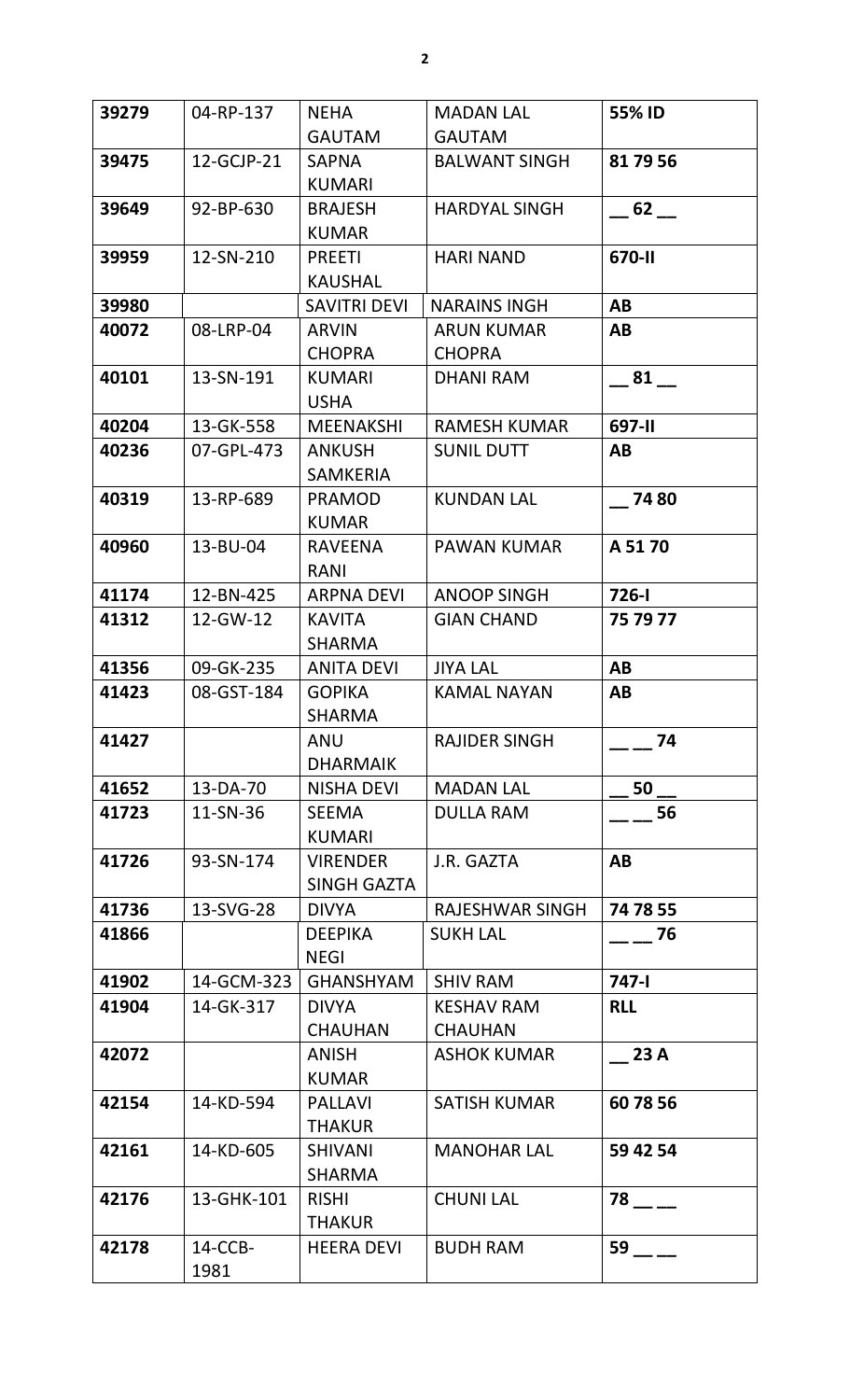| 39279 | 04-RP-137       | <b>NEHA</b>                      | <b>MADAN LAL</b>                    | 55% ID     |
|-------|-----------------|----------------------------------|-------------------------------------|------------|
|       |                 | <b>GAUTAM</b>                    | <b>GAUTAM</b>                       |            |
| 39475 | 12-GCJP-21      | <b>SAPNA</b><br><b>KUMARI</b>    | <b>BALWANT SINGH</b>                | 81 79 56   |
| 39649 | 92-BP-630       | <b>BRAJESH</b><br><b>KUMAR</b>   | <b>HARDYAL SINGH</b>                | $-62$ $-$  |
| 39959 | 12-SN-210       | <b>PREETI</b><br><b>KAUSHAL</b>  | <b>HARI NAND</b>                    | 670-II     |
| 39980 |                 | <b>SAVITRI DEVI</b>              | <b>NARAINS INGH</b>                 | AB         |
| 40072 | 08-LRP-04       | <b>ARVIN</b><br><b>CHOPRA</b>    | <b>ARUN KUMAR</b><br><b>CHOPRA</b>  | AB         |
| 40101 | 13-SN-191       | <b>KUMARI</b><br><b>USHA</b>     | <b>DHANI RAM</b>                    | 81         |
| 40204 | 13-GK-558       | <b>MEENAKSHI</b>                 | <b>RAMESH KUMAR</b>                 | 697-II     |
| 40236 | 07-GPL-473      | <b>ANKUSH</b><br><b>SAMKERIA</b> | <b>SUNIL DUTT</b>                   | AB         |
| 40319 | 13-RP-689       | <b>PRAMOD</b><br><b>KUMAR</b>    | <b>KUNDAN LAL</b>                   | 74 80      |
| 40960 | 13-BU-04        | <b>RAVEENA</b><br>RANI           | <b>PAWAN KUMAR</b>                  | A 5170     |
| 41174 | 12-BN-425       | <b>ARPNA DEVI</b>                | <b>ANOOP SINGH</b>                  | $726 - 1$  |
| 41312 | 12-GW-12        | <b>KAVITA</b><br><b>SHARMA</b>   | <b>GIAN CHAND</b>                   | 75 79 77   |
| 41356 | 09-GK-235       | <b>ANITA DEVI</b>                | <b>JIYA LAL</b>                     | AB         |
| 41423 | 08-GST-184      | <b>GOPIKA</b><br><b>SHARMA</b>   | <b>KAMAL NAYAN</b>                  | AB         |
| 41427 |                 | ANU<br><b>DHARMAIK</b>           | <b>RAJIDER SINGH</b>                | 74         |
| 41652 | 13-DA-70        | <b>NISHA DEVI</b>                | <b>MADAN LAL</b>                    | 50         |
| 41723 | 11-SN-36        | <b>SEEMA</b><br><b>KUMARI</b>    | <b>DULLA RAM</b>                    | 56         |
| 41726 | 93-SN-174       | <b>VIRENDER</b><br>SINGH GAZTA   | J.R. GAZTA                          | AB         |
| 41736 | 13-SVG-28       | <b>DIVYA</b>                     | RAJESHWAR SINGH                     | 74 78 55   |
| 41866 |                 | <b>DEEPIKA</b><br><b>NEGI</b>    | <b>SUKH LAL</b>                     | 76         |
| 41902 | 14-GCM-323      | <b>GHANSHYAM</b>                 | <b>SHIV RAM</b>                     | $747 - 1$  |
| 41904 | 14-GK-317       | <b>DIVYA</b><br><b>CHAUHAN</b>   | <b>KESHAV RAM</b><br><b>CHAUHAN</b> | <b>RLL</b> |
| 42072 |                 | ANISH<br><b>KUMAR</b>            | <b>ASHOK KUMAR</b>                  | 23 A       |
| 42154 | 14-KD-594       | <b>PALLAVI</b><br><b>THAKUR</b>  | <b>SATISH KUMAR</b>                 | 60 78 56   |
| 42161 | 14-KD-605       | <b>SHIVANI</b><br><b>SHARMA</b>  | <b>MANOHAR LAL</b>                  | 59 42 54   |
| 42176 | 13-GHK-101      | <b>RISHI</b><br><b>THAKUR</b>    | <b>CHUNI LAL</b>                    | 78         |
| 42178 | 14-CCB-<br>1981 | <b>HEERA DEVI</b>                | <b>BUDH RAM</b>                     | 59         |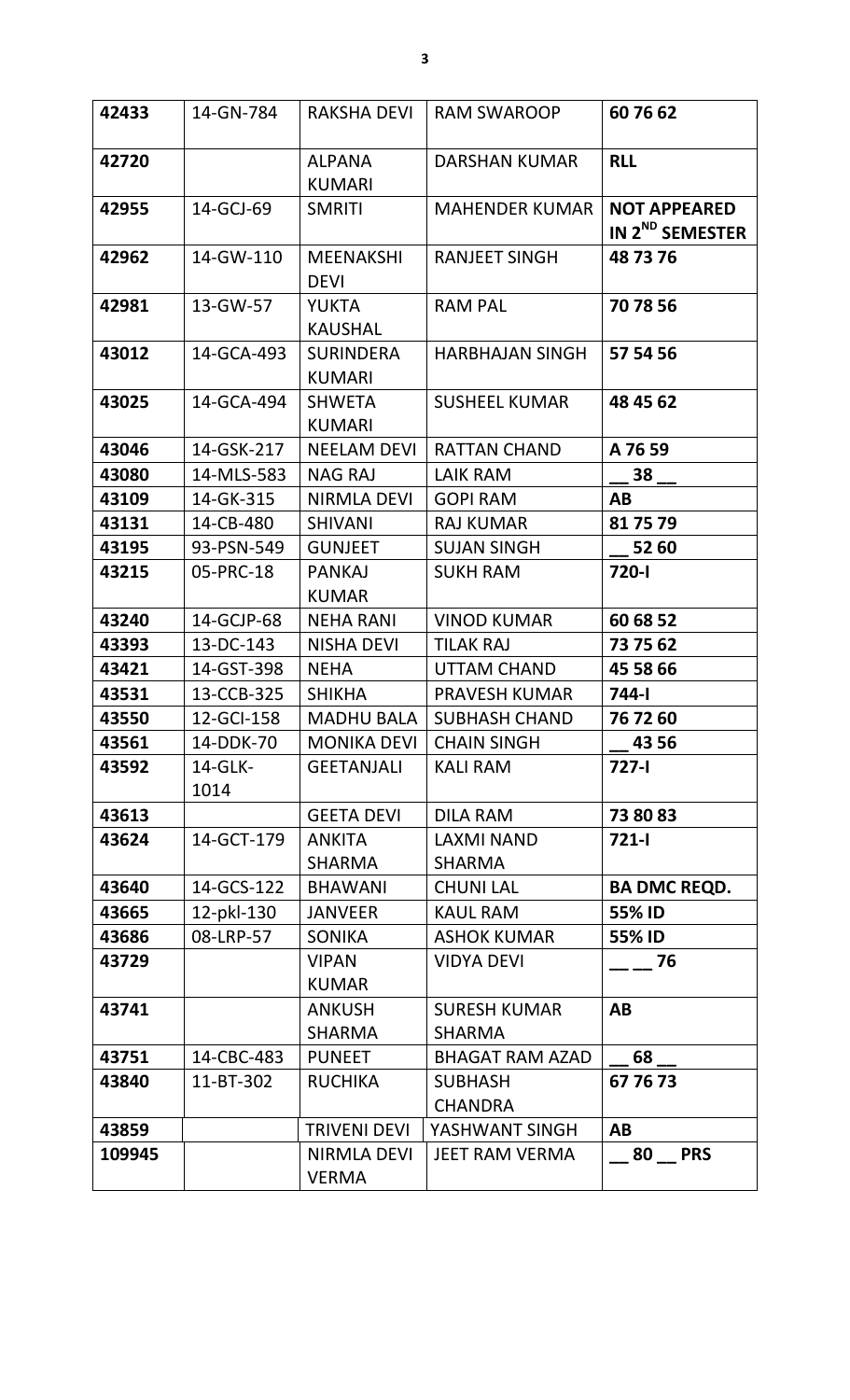| 42433  | 14-GN-784       | <b>RAKSHA DEVI</b>                | <b>RAM SWAROOP</b>                   | 607662                                             |
|--------|-----------------|-----------------------------------|--------------------------------------|----------------------------------------------------|
| 42720  |                 | <b>ALPANA</b><br><b>KUMARI</b>    | <b>DARSHAN KUMAR</b>                 | <b>RLL</b>                                         |
| 42955  | 14-GCJ-69       | <b>SMRITI</b>                     | <b>MAHENDER KUMAR</b>                | <b>NOT APPEARED</b><br>IN 2 <sup>ND</sup> SEMESTER |
| 42962  | 14-GW-110       | <b>MEENAKSHI</b><br><b>DEVI</b>   | <b>RANJEET SINGH</b>                 | 48 73 76                                           |
| 42981  | 13-GW-57        | <b>YUKTA</b><br><b>KAUSHAL</b>    | <b>RAM PAL</b>                       | 70 78 56                                           |
| 43012  | 14-GCA-493      | <b>SURINDERA</b><br><b>KUMARI</b> | <b>HARBHAJAN SINGH</b>               | 57 54 56                                           |
| 43025  | 14-GCA-494      | <b>SHWETA</b><br><b>KUMARI</b>    | <b>SUSHEEL KUMAR</b>                 | 48 45 62                                           |
| 43046  | 14-GSK-217      | <b>NEELAM DEVI</b>                | <b>RATTAN CHAND</b>                  | A 76 59                                            |
| 43080  | 14-MLS-583      | <b>NAG RAJ</b>                    | <b>LAIK RAM</b>                      | $38$ $-$                                           |
| 43109  | 14-GK-315       | NIRMLA DEVI                       | <b>GOPI RAM</b>                      | AB                                                 |
| 43131  | 14-CB-480       | <b>SHIVANI</b>                    | <b>RAJ KUMAR</b>                     | 81 75 79                                           |
| 43195  | 93-PSN-549      | <b>GUNJEET</b>                    | <b>SUJAN SINGH</b>                   | 52 60                                              |
| 43215  | 05-PRC-18       | <b>PANKAJ</b><br><b>KUMAR</b>     | <b>SUKH RAM</b>                      | 720-l                                              |
| 43240  | 14-GCJP-68      | <b>NEHA RANI</b>                  | <b>VINOD KUMAR</b>                   | 60 68 52                                           |
| 43393  | 13-DC-143       | <b>NISHA DEVI</b>                 | <b>TILAK RAJ</b>                     | 73 75 62                                           |
| 43421  | 14-GST-398      | <b>NEHA</b>                       | UTTAM CHAND                          | 45 58 66                                           |
| 43531  | 13-CCB-325      | <b>SHIKHA</b>                     | <b>PRAVESH KUMAR</b>                 | 744-l                                              |
| 43550  | 12-GCI-158      | <b>MADHU BALA</b>                 | <b>SUBHASH CHAND</b>                 | 76 72 60                                           |
| 43561  | 14-DDK-70       | <b>MONIKA DEVI</b>                | <b>CHAIN SINGH</b>                   | 43 56                                              |
| 43592  | 14-GLK-<br>1014 | <b>GEETANJALI</b>                 | <b>KALI RAM</b>                      | $727 - 1$                                          |
| 43613  |                 | <b>GEETA DEVI</b>                 | <b>DILA RAM</b>                      | 73 80 83                                           |
| 43624  | 14-GCT-179      | <b>ANKITA</b><br><b>SHARMA</b>    | <b>LAXMI NAND</b><br><b>SHARMA</b>   | $721 - 1$                                          |
| 43640  | 14-GCS-122      | <b>BHAWANI</b>                    | <b>CHUNI LAL</b>                     | <b>BA DMC REQD.</b>                                |
| 43665  | 12-pkl-130      | <b>JANVEER</b>                    | <b>KAUL RAM</b>                      | 55% ID                                             |
| 43686  | 08-LRP-57       | <b>SONIKA</b>                     | <b>ASHOK KUMAR</b>                   | 55% ID                                             |
| 43729  |                 | <b>VIPAN</b><br><b>KUMAR</b>      | <b>VIDYA DEVI</b>                    | 76                                                 |
| 43741  |                 | <b>ANKUSH</b><br><b>SHARMA</b>    | <b>SURESH KUMAR</b><br><b>SHARMA</b> | AB                                                 |
| 43751  | 14-CBC-483      | <b>PUNEET</b>                     | <b>BHAGAT RAM AZAD</b>               | 68                                                 |
| 43840  | 11-BT-302       | <b>RUCHIKA</b>                    | <b>SUBHASH</b><br><b>CHANDRA</b>     | 67 76 73                                           |
| 43859  |                 | <b>TRIVENI DEVI</b>               | YASHWANT SINGH                       | AB                                                 |
| 109945 |                 | NIRMLA DEVI<br><b>VERMA</b>       | <b>JEET RAM VERMA</b>                | 80 PRS                                             |